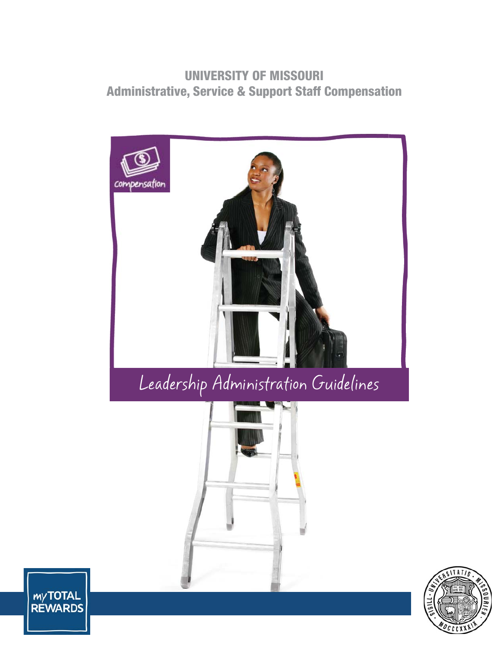# **UNIVERSITY OF MISSOURI Administrative, Service & Support Staff Compensation**





myTOTAL<br>REWARDS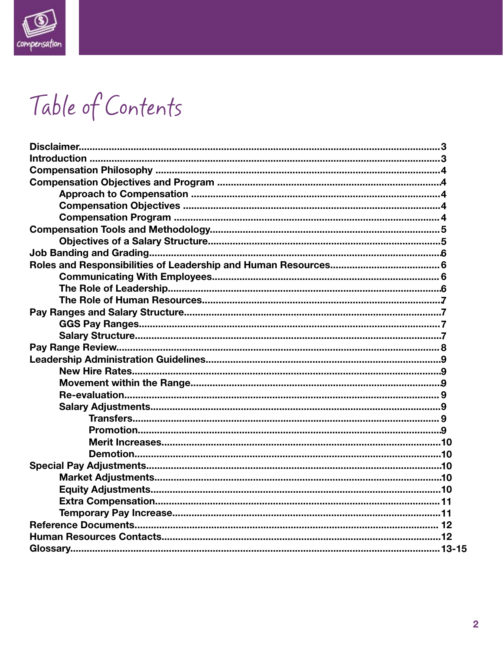

# Table of Contents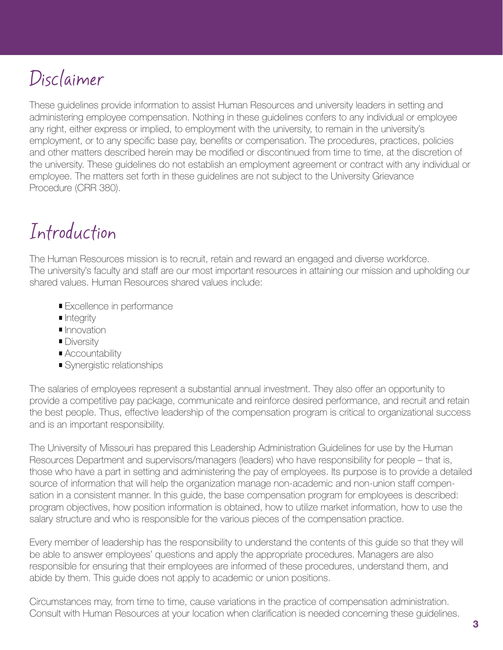# Disclaimer

These guidelines provide information to assist Human Resources and university leaders in setting and administering employee compensation. Nothing in these guidelines confers to any individual or employee any right, either express or implied, to employment with the university, to remain in the university's employment, or to any specific base pay, benefits or compensation. The procedures, practices, policies and other matters described herein may be modified or discontinued from time to time, at the discretion of the university. These guidelines do not establish an employment agreement or contract with any individual or employee. The matters set forth in these guidelines are not subject to the University Grievance Procedure (CRR 380).

# Introduction

The Human Resources mission is to recruit, retain and reward an engaged and diverse workforce. The university's faculty and staff are our most important resources in attaining our mission and upholding our shared values. Human Resources shared values include:

- **Excellence in performance**
- **I**ntegrity
- **Innovation**
- **Diversity**
- **Accountability**
- **Synergistic relationships**

The salaries of employees represent a substantial annual investment. They also offer an opportunity to provide a competitive pay package, communicate and reinforce desired performance, and recruit and retain the best people. Thus, effective leadership of the compensation program is critical to organizational success and is an important responsibility.

The University of Missouri has prepared this Leadership Administration Guidelines for use by the Human Resources Department and supervisors/managers (leaders) who have responsibility for people – that is, those who have a part in setting and administering the pay of employees. Its purpose is to provide a detailed source of information that will help the organization manage non-academic and non-union staff compensation in a consistent manner. In this guide, the base compensation program for employees is described: program objectives, how position information is obtained, how to utilize market information, how to use the salary structure and who is responsible for the various pieces of the compensation practice.

Every member of leadership has the responsibility to understand the contents of this guide so that they will be able to answer employees' questions and apply the appropriate procedures. Managers are also responsible for ensuring that their employees are informed of these procedures, understand them, and abide by them. This guide does not apply to academic or union positions.

Circumstances may, from time to time, cause variations in the practice of compensation administration. Consult with Human Resources at your location when clarification is needed concerning these guidelines.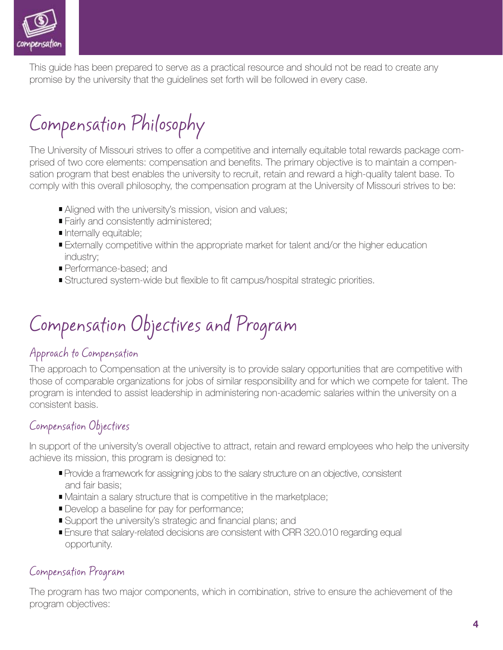

This guide has been prepared to serve as a practical resource and should not be read to create any promise by the university that the guidelines set forth will be followed in every case.

# Compensation Philosophy

The University of Missouri strives to offer a competitive and internally equitable total rewards package comprised of two core elements: compensation and benefits. The primary objective is to maintain a compensation program that best enables the university to recruit, retain and reward a high-quality talent base. To comply with this overall philosophy, the compensation program at the University of Missouri strives to be:

- **Aligned with the university's mission, vision and values;**
- **Fairly and consistently administered;**
- Internally equitable;
- **Externally competitive within the appropriate market for talent and/or the higher education** industry;
- Performance-based; and
- Structured system-wide but flexible to fit campus/hospital strategic priorities.

# Compensation Objectives and Program

### Approach to Compensation

The approach to Compensation at the university is to provide salary opportunities that are competitive with those of comparable organizations for jobs of similar responsibility and for which we compete for talent. The program is intended to assist leadership in administering non-academic salaries within the university on a consistent basis.

### Compensation Objectives

In support of the university's overall objective to attract, retain and reward employees who help the university achieve its mission, this program is designed to:

- **Provide a framework for assigning jobs to the salary structure on an objective, consistent** and fair basis;
- Maintain a salary structure that is competitive in the marketplace;
- Develop a baseline for pay for performance;
- Support the university's strategic and financial plans; and
- **Ensure that salary-related decisions are consistent with CRR 320.010 regarding equal** opportunity.

### Compensation Program

The program has two major components, which in combination, strive to ensure the achievement of the program objectives: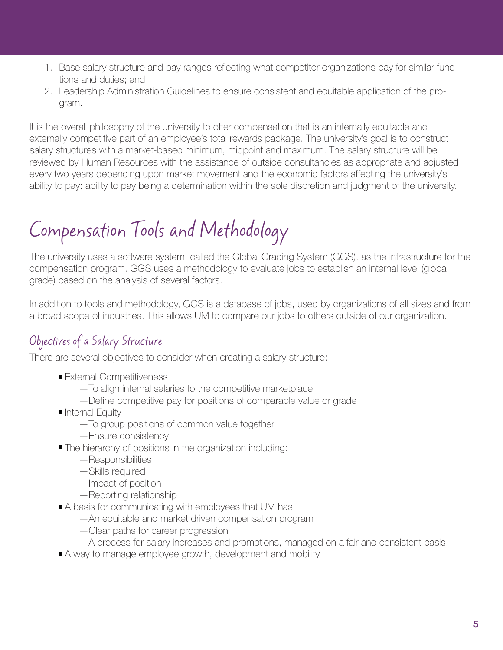- 1. Base salary structure and pay ranges reflecting what competitor organizations pay for similar functions and duties; and
- 2. Leadership Administration Guidelines to ensure consistent and equitable application of the program.

It is the overall philosophy of the university to offer compensation that is an internally equitable and externally competitive part of an employee's total rewards package. The university's goal is to construct salary structures with a market-based minimum, midpoint and maximum. The salary structure will be reviewed by Human Resources with the assistance of outside consultancies as appropriate and adjusted every two years depending upon market movement and the economic factors affecting the university's ability to pay: ability to pay being a determination within the sole discretion and judgment of the university.

# Compensation Tools and Methodology

The university uses a software system, called the Global Grading System (GGS), as the infrastructure for the compensation program. GGS uses a methodology to evaluate jobs to establish an internal level (global grade) based on the analysis of several factors.

In addition to tools and methodology, GGS is a database of jobs, used by organizations of all sizes and from a broad scope of industries. This allows UM to compare our jobs to others outside of our organization.

# Objectives of a Salary Structure

There are several objectives to consider when creating a salary structure:

- **External Competitiveness** 
	- —To align internal salaries to the competitive marketplace
	- Define competitive pay for positions of comparable value or grade
- Internal Equity
	- —To group positions of common value together
	- —Ensure consistency
- **The hierarchy of positions in the organization including:** 
	- —Responsibilities
	- —Skills required
	- —Impact of position
	- —Reporting relationship
- A basis for communicating with employees that UM has:
	- —An equitable and market driven compensation program
	- —Clear paths for career progression
	- —A process for salary increases and promotions, managed on a fair and consistent basis
- A way to manage employee growth, development and mobility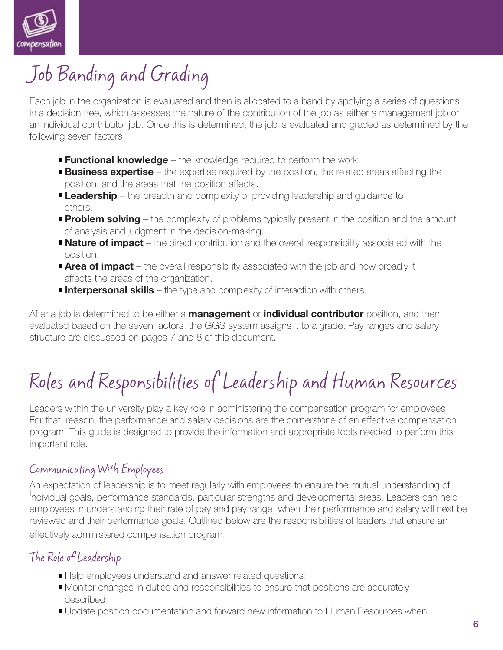

# Job Banding and Grading

Each job in the organization is evaluated and then is allocated to a band by applying a series of questions in a decision tree, which assesses the nature of the contribution of the job as either a management job or an individual contributor job. Once this is determined, the job is evaluated and graded as determined by the following seven factors:

- **Functional knowledge** the knowledge required to perform the work.
- **Business expertise** the expertise required by the position, the related areas affecting the position, and the areas that the position affects.
- **Leadership** the breadth and complexity of providing leadership and quidance to others.
- **Problem solving** the complexity of problems typically present in the position and the amount of analysis and judgment in the decision-making.
- **Nature of impact** the direct contribution and the overall responsibility associated with the position.
- **Area of impact** the overall responsibility associated with the job and how broadly it affects the areas of the organization.
- **Interpersonal skills** the type and complexity of interaction with others.

After a job is determined to be either a **management** or **individual contributor** position, and then evaluated based on the seven factors, the GGS system assigns it to a grade. Pay ranges and salary structure are discussed on pages 7 and 8 of this document.

# Roles and Responsibilities of Leadership and Human Resources

Leaders within the university play a key role in administering the compensation program for employees. For that reason, the performance and salary decisions are the cornerstone of an effective compensation program. This guide is designed to provide the information and appropriate tools needed to perform this important role.

### Communicating With Employees

An expectation of leadership is to meet regularly with employees to ensure the mutual understanding of i ndividual goals, performance standards, particular strengths and developmental areas. Leaders can help employees in understanding their rate of pay and pay range, when their performance and salary will next be reviewed and their performance goals. Outlined below are the responsibilities of leaders that ensure an effectively administered compensation program.

# The Role of Leadership

- Help employees understand and answer related questions;
- **Monitor changes in duties and responsibilities to ensure that positions are accurately** described;
- **Update position documentation and forward new information to Human Resources when**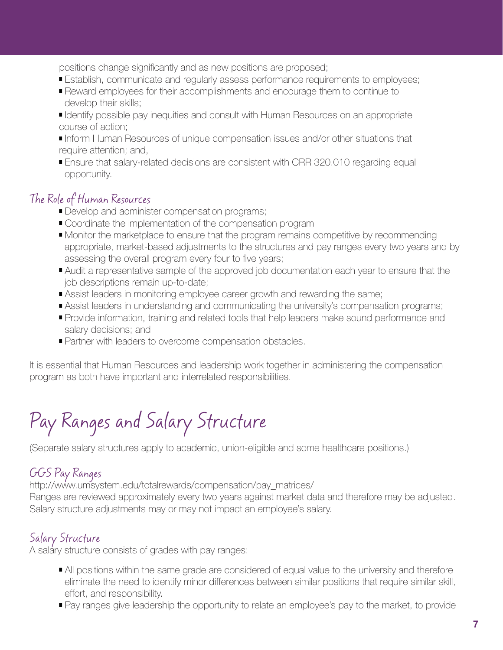positions change significantly and as new positions are proposed;

- **Establish, communicate and regularly assess performance requirements to employees;**
- Reward employees for their accomplishments and encourage them to continue to develop their skills;
- Identify possible pay inequities and consult with Human Resources on an appropriate course of action;
- Inform Human Resources of unique compensation issues and/or other situations that require attention; and,
- **Ensure that salary-related decisions are consistent with CRR 320.010 regarding equal** opportunity.

### The Role of Human Resources

- Develop and administer compensation programs;
- Coordinate the implementation of the compensation program
- **Monitor the marketplace to ensure that the program remains competitive by recommending**  appropriate, market-based adjustments to the structures and pay ranges every two years and by assessing the overall program every four to five years;
- Audit a representative sample of the approved job documentation each year to ensure that the job descriptions remain up-to-date;
- **Assist leaders in monitoring employee career growth and rewarding the same;**
- **Assist leaders in understanding and communicating the university's compensation programs;**
- Provide information, training and related tools that help leaders make sound performance and salary decisions; and
- **Partner with leaders to overcome compensation obstacles.**

It is essential that Human Resources and leadership work together in administering the compensation program as both have important and interrelated responsibilities.

# Pay Ranges and Salary Structure

(Separate salary structures apply to academic, union-eligible and some healthcare positions.)

### GGS Pay Ranges

http://www.umsystem.edu/totalrewards/compensation/pay\_matrices/

Ranges are reviewed approximately every two years against market data and therefore may be adjusted. Salary structure adjustments may or may not impact an employee's salary.

# Salary Structure

A salary structure consists of grades with pay ranges:

- All positions within the same grade are considered of equal value to the university and therefore eliminate the need to identify minor differences between similar positions that require similar skill, effort, and responsibility.
- **Pay ranges give leadership the opportunity to relate an employee's pay to the market, to provide**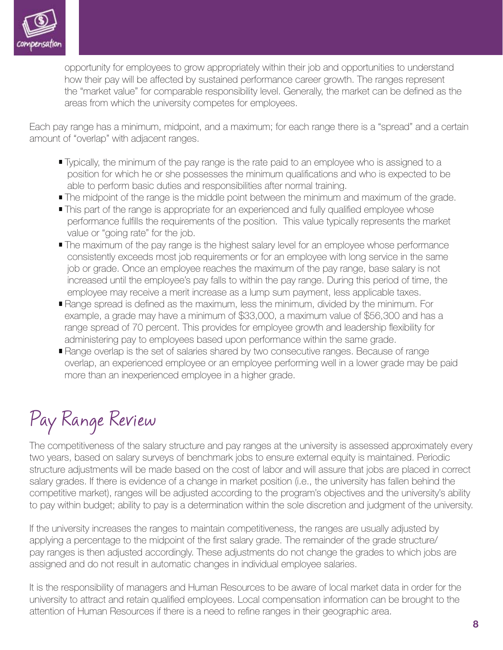

 opportunity for employees to grow appropriately within their job and opportunities to understand how their pay will be affected by sustained performance career growth. The ranges represent the "market value" for comparable responsibility level. Generally, the market can be defined as the areas from which the university competes for employees.

Each pay range has a minimum, midpoint, and a maximum; for each range there is a "spread" and a certain amount of "overlap" with adjacent ranges.

- **Typically, the minimum of the pay range is the rate paid to an employee who is assigned to a** position for which he or she possesses the minimum qualifications and who is expected to be able to perform basic duties and responsibilities after normal training.
- The midpoint of the range is the middle point between the minimum and maximum of the grade.
- This part of the range is appropriate for an experienced and fully qualified employee whose performance fulfills the requirements of the position. This value typically represents the market value or "going rate" for the job.
- The maximum of the pay range is the highest salary level for an employee whose performance consistently exceeds most job requirements or for an employee with long service in the same job or grade. Once an employee reaches the maximum of the pay range, base salary is not increased until the employee's pay falls to within the pay range. During this period of time, the employee may receive a merit increase as a lump sum payment, less applicable taxes.
- **Range spread is defined as the maximum, less the minimum, divided by the minimum. For**  example, a grade may have a minimum of \$33,000, a maximum value of \$56,300 and has a range spread of 70 percent. This provides for employee growth and leadership flexibility for administering pay to employees based upon performance within the same grade.
- **Range overlap is the set of salaries shared by two consecutive ranges. Because of range**  overlap, an experienced employee or an employee performing well in a lower grade may be paid more than an inexperienced employee in a higher grade.

# Pay Range Review

The competitiveness of the salary structure and pay ranges at the university is assessed approximately every two years, based on salary surveys of benchmark jobs to ensure external equity is maintained. Periodic structure adjustments will be made based on the cost of labor and will assure that jobs are placed in correct salary grades. If there is evidence of a change in market position (i.e., the university has fallen behind the competitive market), ranges will be adjusted according to the program's objectives and the university's ability to pay within budget; ability to pay is a determination within the sole discretion and judgment of the university.

If the university increases the ranges to maintain competitiveness, the ranges are usually adjusted by applying a percentage to the midpoint of the first salary grade. The remainder of the grade structure/ pay ranges is then adjusted accordingly. These adjustments do not change the grades to which jobs are assigned and do not result in automatic changes in individual employee salaries.

It is the responsibility of managers and Human Resources to be aware of local market data in order for the university to attract and retain qualified employees. Local compensation information can be brought to the attention of Human Resources if there is a need to refine ranges in their geographic area.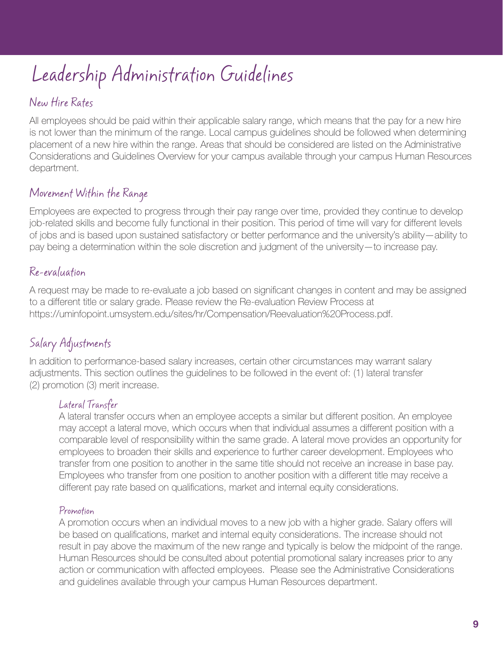# Leadership Administration Guidelines

# New Hire Rates

All employees should be paid within their applicable salary range, which means that the pay for a new hire is not lower than the minimum of the range. Local campus guidelines should be followed when determining placement of a new hire within the range. Areas that should be considered are listed on the Administrative Considerations and Guidelines Overview for your campus available through your campus Human Resources department.

### Movement Within the Range

Employees are expected to progress through their pay range over time, provided they continue to develop job-related skills and become fully functional in their position. This period of time will vary for different levels of jobs and is based upon sustained satisfactory or better performance and the university's ability—ability to pay being a determination within the sole discretion and judgment of the university—to increase pay.

## Re-evaluation

A request may be made to re-evaluate a job based on significant changes in content and may be assigned to a different title or salary grade. Please review the Re-evaluation Review Process at https://uminfopoint.umsystem.edu/sites/hr/Compensation/Reevaluation%20Process.pdf.

# Salary Adjustments

In addition to performance-based salary increases, certain other circumstances may warrant salary adjustments. This section outlines the guidelines to be followed in the event of: (1) lateral transfer (2) promotion (3) merit increase.

### Lateral Transfer

A lateral transfer occurs when an employee accepts a similar but different position. An employee may accept a lateral move, which occurs when that individual assumes a different position with a comparable level of responsibility within the same grade. A lateral move provides an opportunity for employees to broaden their skills and experience to further career development. Employees who transfer from one position to another in the same title should not receive an increase in base pay. Employees who transfer from one position to another position with a different title may receive a different pay rate based on qualifications, market and internal equity considerations.

### Promotion

A promotion occurs when an individual moves to a new job with a higher grade. Salary offers will be based on qualifications, market and internal equity considerations. The increase should not result in pay above the maximum of the new range and typically is below the midpoint of the range. Human Resources should be consulted about potential promotional salary increases prior to any action or communication with affected employees. Please see the Administrative Considerations and guidelines available through your campus Human Resources department.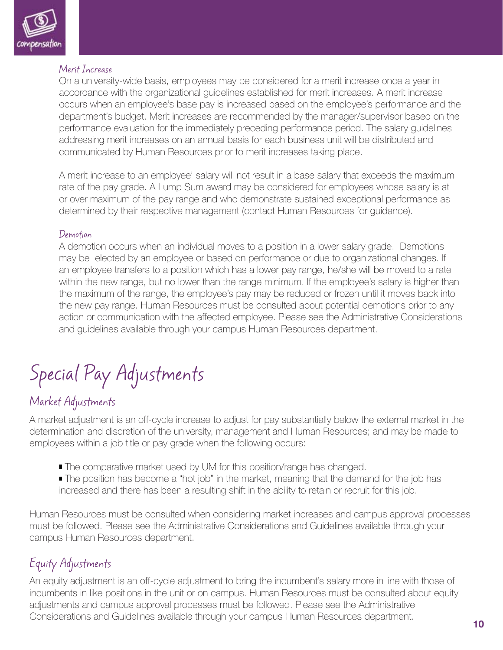

#### Merit Increase

On a university-wide basis, employees may be considered for a merit increase once a year in accordance with the organizational guidelines established for merit increases. A merit increase occurs when an employee's base pay is increased based on the employee's performance and the department's budget. Merit increases are recommended by the manager/supervisor based on the performance evaluation for the immediately preceding performance period. The salary guidelines addressing merit increases on an annual basis for each business unit will be distributed and communicated by Human Resources prior to merit increases taking place.

A merit increase to an employee' salary will not result in a base salary that exceeds the maximum rate of the pay grade. A Lump Sum award may be considered for employees whose salary is at or over maximum of the pay range and who demonstrate sustained exceptional performance as determined by their respective management (contact Human Resources for guidance).

#### Demotion

A demotion occurs when an individual moves to a position in a lower salary grade. Demotions may be elected by an employee or based on performance or due to organizational changes. If an employee transfers to a position which has a lower pay range, he/she will be moved to a rate within the new range, but no lower than the range minimum. If the employee's salary is higher than the maximum of the range, the employee's pay may be reduced or frozen until it moves back into the new pay range. Human Resources must be consulted about potential demotions prior to any action or communication with the affected employee. Please see the Administrative Considerations and guidelines available through your campus Human Resources department.

# Special Pay Adjustments

# Market Adjustments

A market adjustment is an off-cycle increase to adjust for pay substantially below the external market in the determination and discretion of the university, management and Human Resources; and may be made to employees within a job title or pay grade when the following occurs:

- **The comparative market used by UM for this position/range has changed.**
- **The position has become a "hot job" in the market, meaning that the demand for the job has** increased and there has been a resulting shift in the ability to retain or recruit for this job.

Human Resources must be consulted when considering market increases and campus approval processes must be followed. Please see the Administrative Considerations and Guidelines available through your campus Human Resources department.

# Equity Adjustments

An equity adjustment is an off-cycle adjustment to bring the incumbent's salary more in line with those of incumbents in like positions in the unit or on campus. Human Resources must be consulted about equity adjustments and campus approval processes must be followed. Please see the Administrative Considerations and Guidelines available through your campus Human Resources department.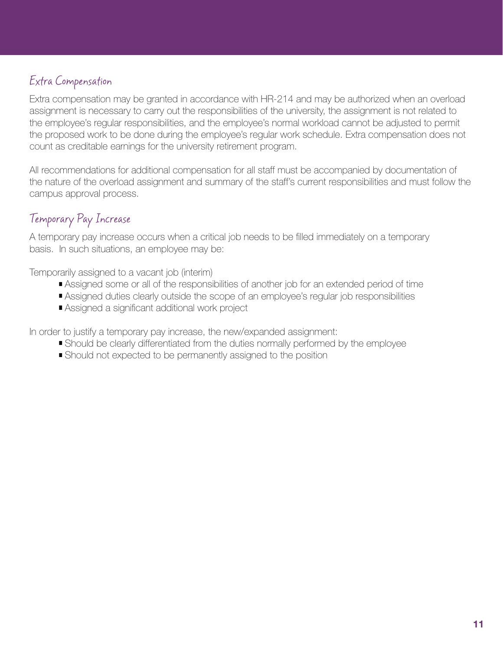### Extra Compensation

Extra compensation may be granted in accordance with HR-214 and may be authorized when an overload assignment is necessary to carry out the responsibilities of the university, the assignment is not related to the employee's regular responsibilities, and the employee's normal workload cannot be adjusted to permit the proposed work to be done during the employee's regular work schedule. Extra compensation does not count as creditable earnings for the university retirement program.

All recommendations for additional compensation for all staff must be accompanied by documentation of the nature of the overload assignment and summary of the staff's current responsibilities and must follow the campus approval process.

## Temporary Pay Increase

A temporary pay increase occurs when a critical job needs to be filled immediately on a temporary basis. In such situations, an employee may be:

Temporarily assigned to a vacant job (interim)

- **Assigned some or all of the responsibilities of another job for an extended period of time**
- **Assigned duties clearly outside the scope of an employee's regular job responsibilities**
- Assigned a significant additional work project

In order to justify a temporary pay increase, the new/expanded assignment:

- **Should be clearly differentiated from the duties normally performed by the employee**
- **Should not expected to be permanently assigned to the position**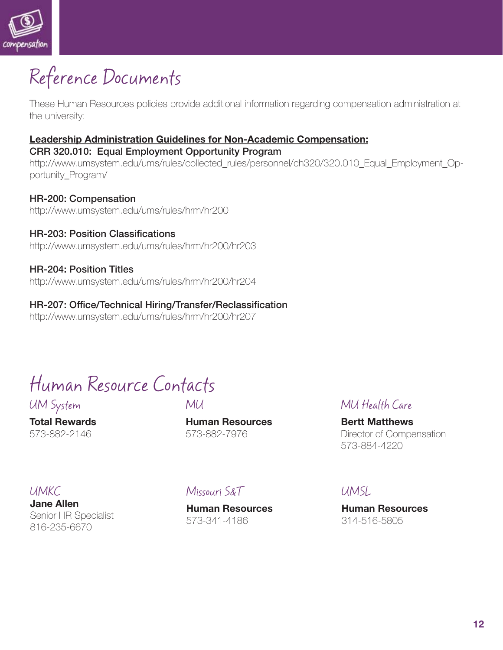

# Reference Documents

These Human Resources policies provide additional information regarding compensation administration at the university:

# **Leadership Administration Guidelines for Non-Academic Compensation:**

**CRR 320.010: Equal Employment Opportunity Program** http://www.umsystem.edu/ums/rules/collected\_rules/personnel/ch320/320.010\_Equal\_Employment\_Opportunity\_Program/

**HR-200: Compensation** http://www.umsystem.edu/ums/rules/hrm/hr200

**HR-203: Position Classifi cations** http://www.umsystem.edu/ums/rules/hrm/hr200/hr203

#### **HR-204: Position Titles**

**HR-204: Position Titles** http://www.umsystem.edu/ums/rules/hrm/hr200/hr204

**HR-207: Offi ce/Technical Hiring/Transfer/Reclassifi cation** http://www.umsystem.edu/ums/rules/hrm/hr200/hr207

Human Resource Contacts

UM System

**Total Rewards** 573-882-2146

### MU

**Human Resources** 573-882-7976

### MU Health Care

**Bertt Matthews** Director of Compensation 573-884-4220

#### UMKC

**Jane Allen** Senior HR Specialist 816-235-6670

### Missouri S&T

**Human Resources** 573-341-4186

### UMSL

**Human Resources** 314-516-5805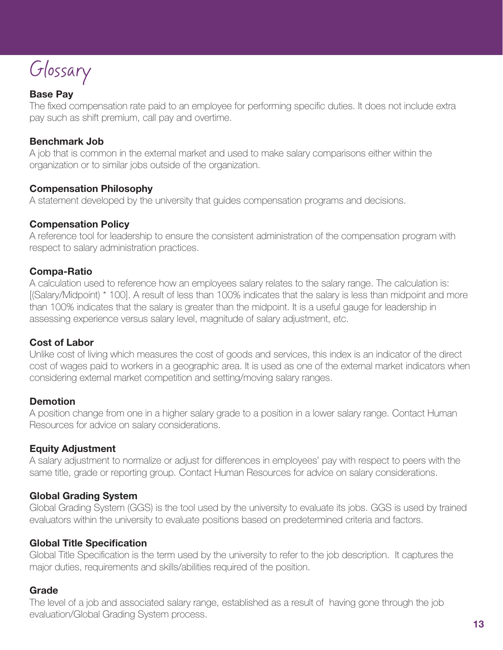Glossary

#### **Base Pay**

The fixed compensation rate paid to an employee for performing specific duties. It does not include extra pay such as shift premium, call pay and overtime.

#### **Benchmark Job**

A job that is common in the external market and used to make salary comparisons either within the organization or to similar jobs outside of the organization.

#### **Compensation Philosophy**

A statement developed by the university that guides compensation programs and decisions.

#### **Compensation Policy**

A reference tool for leadership to ensure the consistent administration of the compensation program with respect to salary administration practices.

#### **Compa-Ratio**

A calculation used to reference how an employees salary relates to the salary range. The calculation is: [(Salary/Midpoint) \* 100]. A result of less than 100% indicates that the salary is less than midpoint and more than 100% indicates that the salary is greater than the midpoint. It is a useful gauge for leadership in assessing experience versus salary level, magnitude of salary adjustment, etc.

#### **Cost of Labor**

Unlike cost of living which measures the cost of goods and services, this index is an indicator of the direct cost of wages paid to workers in a geographic area. It is used as one of the external market indicators when considering external market competition and setting/moving salary ranges.

#### **Demotion**

A position change from one in a higher salary grade to a position in a lower salary range. Contact Human Resources for advice on salary considerations.

#### **Equity Adjustment**

A salary adjustment to normalize or adjust for differences in employees' pay with respect to peers with the same title, grade or reporting group. Contact Human Resources for advice on salary considerations.

#### **Global Grading System**

Global Grading System (GGS) is the tool used by the university to evaluate its jobs. GGS is used by trained evaluators within the university to evaluate positions based on predetermined criteria and factors.

#### **Global Title Specification**

Global Title Specification is the term used by the university to refer to the job description. It captures the major duties, requirements and skills/abilities required of the position.

#### **Grade**

The level of a job and associated salary range, established as a result of having gone through the job evaluation/Global Grading System process.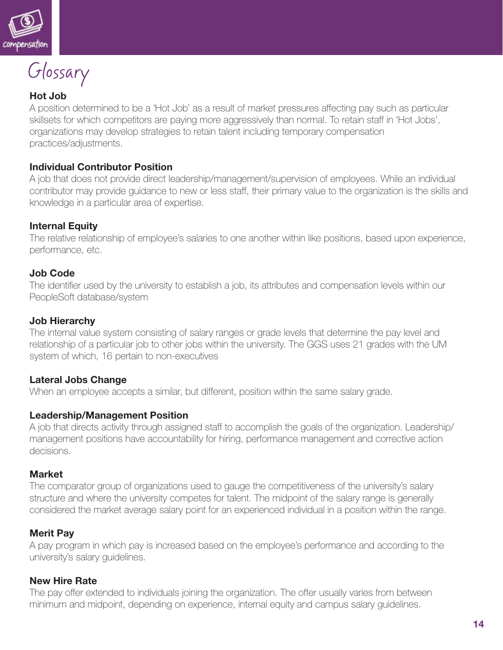

Glossary

#### **Hot Job**

A position determined to be a 'Hot Job' as a result of market pressures affecting pay such as particular skillsets for which competitors are paying more aggressively than normal. To retain staff in 'Hot Jobs', organizations may develop strategies to retain talent including temporary compensation practices/adjustments.

#### **Individual Contributor Position**

A job that does not provide direct leadership/management/supervision of employees. While an individual contributor may provide guidance to new or less staff, their primary value to the organization is the skills and knowledge in a particular area of expertise.

#### **Internal Equity**

The relative relationship of employee's salaries to one another within like positions, based upon experience, performance, etc.

#### **Job Code**

The identifier used by the university to establish a job, its attributes and compensation levels within our PeopleSoft database/system

#### **Job Hierarchy**

The internal value system consisting of salary ranges or grade levels that determine the pay level and relationship of a particular job to other jobs within the university. The GGS uses 21 grades with the UM system of which, 16 pertain to non-executives

#### **Lateral Jobs Change**

When an employee accepts a similar, but different, position within the same salary grade.

#### **Leadership/Management Position**

A job that directs activity through assigned staff to accomplish the goals of the organization. Leadership/ management positions have accountability for hiring, performance management and corrective action decisions.

#### **Market**

The comparator group of organizations used to gauge the competitiveness of the university's salary structure and where the university competes for talent. The midpoint of the salary range is generally considered the market average salary point for an experienced individual in a position within the range.

#### **Merit Pay**

A pay program in which pay is increased based on the employee's performance and according to the university's salary guidelines.

#### **New Hire Rate**

The pay offer extended to individuals joining the organization. The offer usually varies from between minimum and midpoint, depending on experience, internal equity and campus salary guidelines.